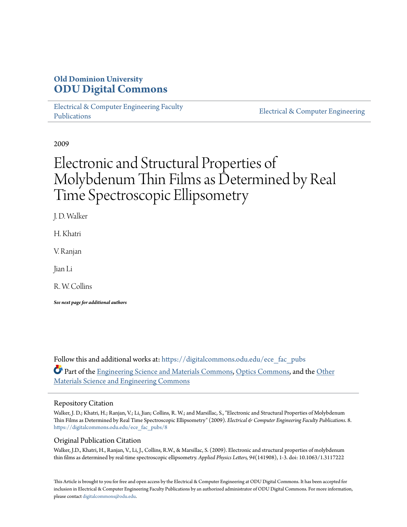## **Old Dominion University [ODU Digital Commons](https://digitalcommons.odu.edu?utm_source=digitalcommons.odu.edu%2Fece_fac_pubs%2F8&utm_medium=PDF&utm_campaign=PDFCoverPages)**

[Electrical & Computer Engineering Faculty](https://digitalcommons.odu.edu/ece_fac_pubs?utm_source=digitalcommons.odu.edu%2Fece_fac_pubs%2F8&utm_medium=PDF&utm_campaign=PDFCoverPages) [Publications](https://digitalcommons.odu.edu/ece_fac_pubs?utm_source=digitalcommons.odu.edu%2Fece_fac_pubs%2F8&utm_medium=PDF&utm_campaign=PDFCoverPages)

[Electrical & Computer Engineering](https://digitalcommons.odu.edu/ece?utm_source=digitalcommons.odu.edu%2Fece_fac_pubs%2F8&utm_medium=PDF&utm_campaign=PDFCoverPages)

2009

# Electronic and Structural Properties of Molybdenum Thin Films as Determined by Real Time Spectroscopic Ellipsometry

J. D. Walker

H. Khatri

V. Ranjan

Jian Li

R. W. Collins

*See next page for additional authors*

Follow this and additional works at: [https://digitalcommons.odu.edu/ece\\_fac\\_pubs](https://digitalcommons.odu.edu/ece_fac_pubs?utm_source=digitalcommons.odu.edu%2Fece_fac_pubs%2F8&utm_medium=PDF&utm_campaign=PDFCoverPages) Part of the [Engineering Science and Materials Commons](http://network.bepress.com/hgg/discipline/279?utm_source=digitalcommons.odu.edu%2Fece_fac_pubs%2F8&utm_medium=PDF&utm_campaign=PDFCoverPages), [Optics Commons,](http://network.bepress.com/hgg/discipline/204?utm_source=digitalcommons.odu.edu%2Fece_fac_pubs%2F8&utm_medium=PDF&utm_campaign=PDFCoverPages) and the [Other](http://network.bepress.com/hgg/discipline/292?utm_source=digitalcommons.odu.edu%2Fece_fac_pubs%2F8&utm_medium=PDF&utm_campaign=PDFCoverPages) [Materials Science and Engineering Commons](http://network.bepress.com/hgg/discipline/292?utm_source=digitalcommons.odu.edu%2Fece_fac_pubs%2F8&utm_medium=PDF&utm_campaign=PDFCoverPages)

#### Repository Citation

Walker, J. D.; Khatri, H.; Ranjan, V.; Li, Jian; Collins, R. W.; and Marsillac, S., "Electronic and Structural Properties of Molybdenum Thin Films as Determined by Real Time Spectroscopic Ellipsometry" (2009). *Electrical & Computer Engineering Faculty Publications*. 8. [https://digitalcommons.odu.edu/ece\\_fac\\_pubs/8](https://digitalcommons.odu.edu/ece_fac_pubs/8?utm_source=digitalcommons.odu.edu%2Fece_fac_pubs%2F8&utm_medium=PDF&utm_campaign=PDFCoverPages)

#### Original Publication Citation

Walker, J.D., Khatri, H., Ranjan, V., Li, J., Collins, R.W., & Marsillac, S. (2009). Electronic and structural properties of molybdenum thin films as determined by real-time spectroscopic ellipsometry. *Applied Physics Letters, 94*(141908), 1-3. doi: 10.1063/1.3117222

This Article is brought to you for free and open access by the Electrical & Computer Engineering at ODU Digital Commons. It has been accepted for inclusion in Electrical & Computer Engineering Faculty Publications by an authorized administrator of ODU Digital Commons. For more information, please contact [digitalcommons@odu.edu](mailto:digitalcommons@odu.edu).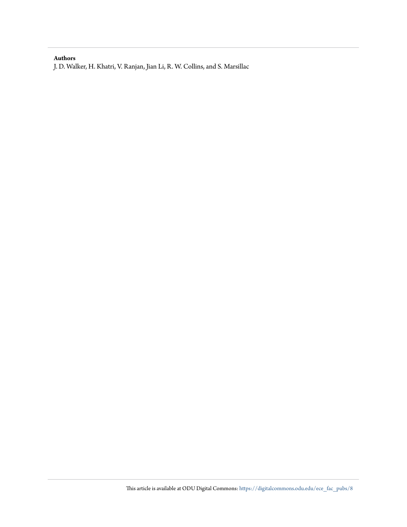#### **Authors**

J. D. Walker, H. Khatri, V. Ranjan, Jian Li, R. W. Collins, and S. Marsillac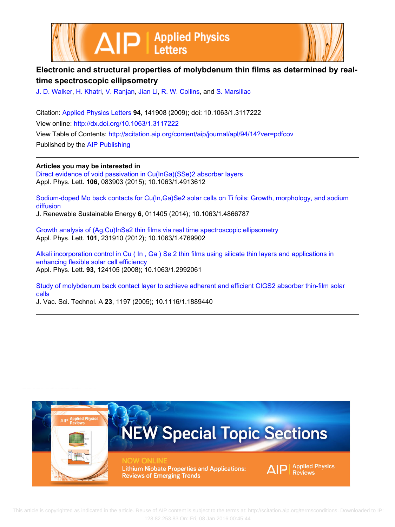



## **Electronic and structural properties of molybdenum thin films as determined by realtime spectroscopic ellipsometry**

[J. D. Walker,](http://scitation.aip.org/search?value1=J.+D.+Walker&option1=author) [H. Khatri](http://scitation.aip.org/search?value1=H.+Khatri&option1=author), [V. Ranjan,](http://scitation.aip.org/search?value1=V.+Ranjan&option1=author) [Jian Li](http://scitation.aip.org/search?value1=Jian+Li&option1=author), [R. W. Collins](http://scitation.aip.org/search?value1=R.+W.+Collins&option1=author), and [S. Marsillac](http://scitation.aip.org/search?value1=S.+Marsillac&option1=author)

Citation: [Applied Physics Letters](http://scitation.aip.org/content/aip/journal/apl?ver=pdfcov) **94**, 141908 (2009); doi: 10.1063/1.3117222 View online: <http://dx.doi.org/10.1063/1.3117222> View Table of Contents:<http://scitation.aip.org/content/aip/journal/apl/94/14?ver=pdfcov> Published by the [AIP Publishing](http://scitation.aip.org/content/aip?ver=pdfcov)

**Articles you may be interested in**

[Direct evidence of void passivation in Cu\(InGa\)\(SSe\)2 absorber layers](http://scitation.aip.org/content/aip/journal/apl/106/8/10.1063/1.4913612?ver=pdfcov) Appl. Phys. Lett. **106**, 083903 (2015); 10.1063/1.4913612

[Sodium-doped Mo back contacts for Cu\(In,Ga\)Se2 solar cells on Ti foils: Growth, morphology, and sodium](http://scitation.aip.org/content/aip/journal/jrse/6/1/10.1063/1.4866787?ver=pdfcov) [diffusion](http://scitation.aip.org/content/aip/journal/jrse/6/1/10.1063/1.4866787?ver=pdfcov)

J. Renewable Sustainable Energy **6**, 011405 (2014); 10.1063/1.4866787

[Growth analysis of \(Ag,Cu\)InSe2 thin films via real time spectroscopic ellipsometry](http://scitation.aip.org/content/aip/journal/apl/101/23/10.1063/1.4769902?ver=pdfcov) Appl. Phys. Lett. **101**, 231910 (2012); 10.1063/1.4769902

[Alkali incorporation control in Cu \( In , Ga \) Se 2 thin films using silicate thin layers and applications in](http://scitation.aip.org/content/aip/journal/apl/93/12/10.1063/1.2992061?ver=pdfcov) [enhancing flexible solar cell efficiency](http://scitation.aip.org/content/aip/journal/apl/93/12/10.1063/1.2992061?ver=pdfcov) Appl. Phys. Lett. **93**, 124105 (2008); 10.1063/1.2992061

[Study of molybdenum back contact layer to achieve adherent and efficient CIGS2 absorber thin-film solar](http://scitation.aip.org/content/avs/journal/jvsta/23/4/10.1116/1.1889440?ver=pdfcov) [cells](http://scitation.aip.org/content/avs/journal/jvsta/23/4/10.1116/1.1889440?ver=pdfcov)

J. Vac. Sci. Technol. A **23**, 1197 (2005); 10.1116/1.1889440



 This article is copyrighted as indicated in the article. Reuse of AIP content is subject to the terms at: http://scitation.aip.org/termsconditions. Downloaded to IP: 128.82.253.83 On: Fri, 08 Jan 2016 00:45:44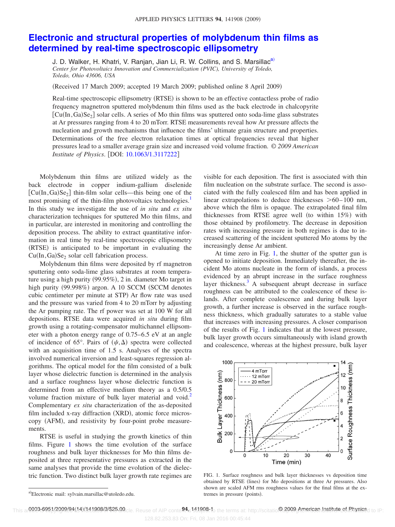### **[Electronic and structural properties of molybdenum thin films as](http://dx.doi.org/10.1063/1.3117222) [determined by real-time spectroscopic ellipsometry](http://dx.doi.org/10.1063/1.3117222)**

J. D. Walker, H. Khatri, V. Ranjan, Jian Li, R. W. Collins, and S. Marsillac<sup>a)</sup> *Center for Photovoltaics Innovation and Commercialization (PVIC), University of Toledo, Toledo, Ohio 43606, USA*

(Received 17 March 2009; accepted 19 March 2009; published online 8 April 2009)

Real-time spectroscopic ellipsometry (RTSE) is shown to be an effective contactless probe of radio frequency magnetron sputtered molybdenum thin films used as the back electrode in chalcopyrite  $[Cu(In, Ga)Se<sub>2</sub>]$  solar cells. A series of Mo thin films was sputtered onto soda-lime glass substrates at Ar pressures ranging from 4 to 20 mTorr. RTSE measurements reveal how Ar pressure affects the nucleation and growth mechanisms that influence the films' ultimate grain structure and properties. Determinations of the free electron relaxation times at optical frequencies reveal that higher pressures lead to a smaller average grain size and increased void volume fraction. © *2009 American Institute of Physics.* [DOI: [10.1063/1.3117222](http://dx.doi.org/10.1063/1.3117222)]

Molybdenum thin films are utilized widely as the back electrode in copper indium-gallium diselenide  $\left[ \text{Cu}(\text{In},\text{Ga})\text{Se}_2 \right]$  thin-film solar cells—this being one of the most promising of the thin-film photovoltaics technologies.<sup>1</sup> In this study we investigate the use of *in situ* and *ex situ* characterization techniques for sputtered Mo thin films, and in particular, are interested in monitoring and controlling the deposition process. The ability to extract quantitative information in real time by real-time spectroscopic ellipsometry (RTSE) is anticipated to be important in evaluating the  $Cu(In, Ga)Se<sub>2</sub> solar cell fabrication process.$ 

Molybdenum thin films were deposited by rf magnetron sputtering onto soda-lime glass substrates at room temperature using a high purity (99.95%), 2 in. diameter Mo target in high purity (99.998%) argon. A 10 SCCM (SCCM denotes cubic centimeter per minute at STP) Ar flow rate was used and the pressure was varied from 4 to 20 mTorr by adjusting the Ar pumping rate. The rf power was set at 100 W for all depositions. RTSE data were acquired *in situ* during film growth using a rotating-compensator multichannel ellipsometer with a photon energy range of 0.75–6.5 eV at an angle of incidence of 65°. Pairs of  $(\psi, \Delta)$  spectra were collected with an acquisition time of 1.5 s. Analyses of the spectra involved numerical inversion and least-squares regression algorithms. The optical model for the film consisted of a bulk layer whose dielectric function is determined in the analysis and a surface roughness layer whose dielectric function is determined from an effective medium theory as a 0.5/0.5 volume fraction mixture of bulk layer material and void.<sup>2</sup> Complementary *ex situ* characterization of the as-deposited film included x-ray diffraction (XRD), atomic force microscopy (AFM), and resistivity by four-point probe measurements.

RTSE is useful in studying the growth kinetics of thin films. Figure [1](#page-3-1) shows the time evolution of the surface roughness and bulk layer thicknesses for Mo thin films deposited at three representative pressures as extracted in the same analyses that provide the time evolution of the dielectric function. Two distinct bulk layer growth rate regimes are visible for each deposition. The first is associated with thin film nucleation on the substrate surface. The second is associated with the fully coalesced film and has been applied in linear extrapolations to deduce thicknesses  $> 60-100$  nm, above which the film is opaque. The extrapolated final film thicknesses from RTSE agree well (to within 15%) with those obtained by profilometry. The decrease in deposition rates with increasing pressure in both regimes is due to increased scattering of the incident sputtered Mo atoms by the increasingly dense Ar ambient.

At time zero in Fig. [1,](#page-3-1) the shutter of the sputter gun is opened to initiate deposition. Immediately thereafter, the incident Mo atoms nucleate in the form of islands, a process evidenced by an abrupt increase in the surface roughness layer thickness.<sup>3</sup> A subsequent abrupt decrease in surface roughness can be attributed to the coalescence of these islands. After complete coalescence and during bulk layer growth, a further increase is observed in the surface roughness thickness, which gradually saturates to a stable value that increases with increasing pressures. A closer comparison of the results of Fig. [1](#page-3-1) indicates that at the lowest pressure, bulk layer growth occurs simultaneously with island growth and coalescence, whereas at the highest pressure, bulk layer

<span id="page-3-1"></span>

FIG. 1. Surface roughness and bulk layer thicknesses vs deposition time obtained by RTSE (lines) for Mo depositions at three Ar pressures. Also shown are scaled AFM rms roughness values for the final films at the extremes in pressure (points).

<span id="page-3-0"></span>a)Electronic mail: sylvain.marsillac@utoledo.edu.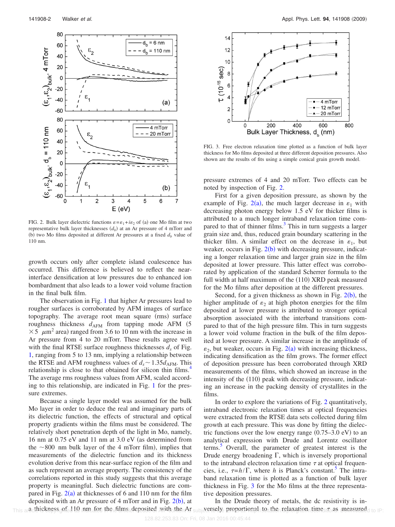<span id="page-4-0"></span>

FIG. 2. Bulk layer dielectric functions  $\varepsilon = \varepsilon_1 + i\varepsilon_2$  of (a) one Mo film at two representative bulk layer thicknesses  $(d_b)$  at an Ar pressure of 4 mTorr and (b) two Mo films deposited at different Ar pressures at a fixed  $d<sub>b</sub>$  value of 110 nm.

growth occurs only after complete island coalescence has occurred. This difference is believed to reflect the nearinterface densification at low pressures due to enhanced ion bombardment that also leads to a lower void volume fraction in the final bulk film.

The observation in Fig. [1](#page-3-1) that higher Ar pressures lead to rougher surfaces is corroborated by AFM images of surface topography. The average root mean square (rms) surface roughness thickness  $d_{AFM}$  from tapping mode AFM  $(5$  $\times$  5  $\mu$ m<sup>2</sup> area) ranged from 3.6 to 10 nm with the increase in Ar pressure from 4 to 20 mTorr. These results agree well with the final RTSE surface roughness thicknesses  $d<sub>s</sub>$  of Fig. [1,](#page-3-1) ranging from 5 to 13 nm, implying a relationship between the RTSE and AFM roughness values of  $d_s \sim 1.35 d_{AFM}$ . This relationship is close to that obtained for silicon thin films.<sup>4</sup> The average rms roughness values from AFM, scaled according to this relationship, are indicated in Fig. [1](#page-3-1) for the pressure extremes.

Because a single layer model was assumed for the bulk Mo layer in order to deduce the real and imaginary parts of its dielectric function, the effects of structural and optical property gradients within the films must be considered. The relatively short penetration depth of the light in Mo, namely, 16 nm at  $0.75$  eV and 11 nm at  $3.0$  eV (as determined from the  $\sim$ 800 nm bulk layer of the 4 mTorr film), implies that measurements of the dielectric function and its thickness evolution derive from this near-surface region of the film and as such represent an average property. The consistency of the correlations reported in this study suggests that this average property is meaningful. Such dielectric functions are compared in Fig.  $2(a)$  $2(a)$  at thicknesses of 6 and 110 nm for the film deposited with an Ar pressure of  $4$  mTorr and in Fig.  $2(b)$  $2(b)$ , at a thickness of 110 nm for the films deposited with the Ar

<span id="page-4-1"></span>

FIG. 3. Free electron relaxation time plotted as a function of bulk layer thickness for Mo films deposited at three different deposition pressures. Also shown are the results of fits using a simple conical grain growth model.

pressure extremes of 4 and 20 mTorr. Two effects can be noted by inspection of Fig. [2.](#page-4-0)

First for a given deposition pressure, as shown by the example of Fig. [2](#page-4-0)(a), the much larger decrease in  $\varepsilon_1$  with decreasing photon energy below 1.5 eV for thicker films is attributed to a much longer intraband relaxation time compared to that of thinner films.<sup>3</sup> This in turn suggests a larger grain size and, thus, reduced grain boundary scattering in the thicker film. A similar effect on the decrease in  $\varepsilon_1$ , but weaker, occurs in Fig.  $2(b)$  $2(b)$  with decreasing pressure, indicating a longer relaxation time and larger grain size in the film deposited at lower pressure. This latter effect was corroborated by application of the standard Scherrer formula to the full width at half maximum of the (110) XRD peak measured for the Mo films after deposition at the different pressures.

Second, for a given thickness as shown in Fig.  $2(b)$  $2(b)$ , the higher amplitude of  $\varepsilon_2$  at high photon energies for the film deposited at lower pressure is attributed to stronger optical absorption associated with the interband transitions compared to that of the high pressure film. This in turn suggests a lower void volume fraction in the bulk of the film deposited at lower pressure. A similar increase in the amplitude of  $\varepsilon_2$  $\varepsilon_2$ , but weaker, occurs in Fig. 2(a) with increasing thickness, indicating densification as the film grows. The former effect of deposition pressure has been corroborated through XRD measurements of the films, which showed an increase in the intensity of the (110) peak with decreasing pressure, indicating an increase in the packing density of crystallites in the films.

In order to explore the variations of Fig. [2](#page-4-0) quantitatively, intraband electronic relaxation times at optical frequencies were extracted from the RTSE data sets collected during film growth at each pressure. This was done by fitting the dielectric functions over the low energy range  $(0.75-3.0 \text{ eV})$  to an analytical expression with Drude and Lorentz oscillator terms.<sup>3</sup> Overall, the parameter of greatest interest is the Drude energy broadening  $\Gamma$ , which is inversely proportional to the intraband electron relaxation time  $\tau$  at optical frequencies, i.e.,  $\tau=h/\Gamma$ , where *h* is Planck's constant.<sup>5</sup> The intraband relaxation time is plotted as a function of bulk layer thickness in Fig. [3](#page-4-1) for the Mo films at the three representative deposition pressures.

In the Drude theory of metals, the dc resistivity is in-This aracthiskness of allel inmater the films deposited with the Ar subjectsely proportional to the relaxation time most measured to IP: